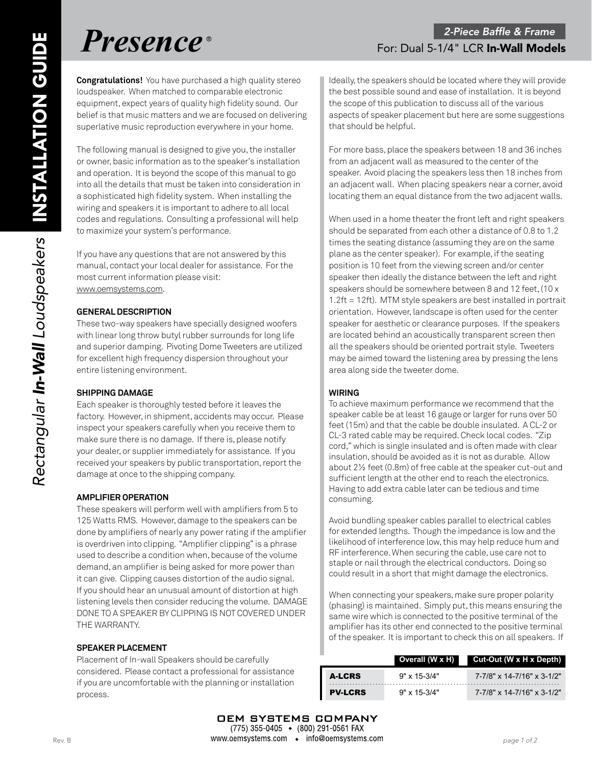**Congratulations!** You have purchased a high quality stereo loudspeaker. When matched to comparable electronic equipment, expect years of quality high fidelity sound. Our belief is that music matters and we are focused on delivering superlative music reproduction everywhere in your home.

The following manual is designed to give you, the installer or owner, basic information as to the speaker's installation and operation. It is beyond the scope of this manual to go into all the details that must be taken into consideration in a sophisticated high fidelity system. When installing the wiring and speakers it is important to adhere to all local codes and regulations. Consulting a professional will help to maximize your system's performance.

If you have any questions that are not answered by this manual, contact your local dealer for assistance. For the most current information please visit: www.oemsystems.com.

# **GENERAL DESCRIPTION**

These two-way speakers have specially designed woofers with linear long throw butyl rubber surrounds for long life and superior damping. Pivoting Dome Tweeters are utilized for excellent high frequency dispersion throughout your entire listening environment.

# **SHIPPING DAMAGE**

Each speaker is thoroughly tested before it leaves the factory. However, in shipment, accidents may occur. Please inspect your speakers carefully when you receive them to make sure there is no damage. If there is, please notify your dealer, or supplier immediately for assistance. If you received your speakers by public transportation, report the damage at once to the shipping company.

# **AMPLIFIER OPERATION**

These speakers will perform well with amplifiers from 5 to 125 Watts RMS. However, damage to the speakers can be done by amplifiers of nearly any power rating if the amplifier is overdriven into clipping. "Amplifier clipping" is a phrase used to describe a condition when, because of the volume demand, an amplifier is being asked for more power than it can give. Clipping causes distortion of the audio signal. If you should hear an unusual amount of distortion at high listening levels then consider reducing the volume. DAMAGE DONE TO A SPEAKER BY CLIPPING IS NOT COVERED UNDER THE WARRANTY.

# **SPEAKER PLACEMENT**

Placement of In-wall Speakers should be carefully considered. Please contact a professional for assistance if you are uncomfortable with the planning or installation process.

Ideally, the speakers should be located where they will provide the best possible sound and ease of installation. It is beyond the scope of this publication to discuss all of the various aspects of speaker placement but here are some suggestions that should be helpful.

For more bass, place the speakers between 18 and 36 inches from an adjacent wall as measured to the center of the speaker. Avoid placing the speakers less then 18 inches from an adjacent wall. When placing speakers near a corner, avoid locating them an equal distance from the two adjacent walls.

When used in a home theater the front left and right speakers should be separated from each other a distance of 0.8 to 1.2 times the seating distance (assuming they are on the same plane as the center speaker). For example, if the seating position is 10 feet from the viewing screen and/or center speaker then ideally the distance between the left and right speakers should be somewhere between 8 and 12 feet, (10 x 1.2ft = 12ft). MTM style speakers are best installed in portrait orientation. However, landscape is often used for the center speaker for aesthetic or clearance purposes. If the speakers are located behind an acoustically transparent screen then all the speakers should be oriented portrait style. Tweeters may be aimed toward the listening area by pressing the lens area along side the tweeter dome.

# **WIRING**

To achieve maximum performance we recommend that the speaker cable be at least 16 gauge or larger for runs over 50 feet (15m) and that the cable be double insulated. A CL-2 or CL-3 rated cable may be required. Check local codes. "Zip cord," which is single insulated and is often made with clear insulation, should be avoided as it is not as durable. Allow about 2½ feet (0.8m) of free cable at the speaker cut-out and sufficient length at the other end to reach the electronics. Having to add extra cable later can be tedious and time consuming.

Avoid bundling speaker cables parallel to electrical cables for extended lengths. Though the impedance is low and the likelihood of interference low, this may help reduce hum and RF interference. When securing the cable, use care not to staple or nail through the electrical conductors. Doing so could result in a short that might damage the electronics.

When connecting your speakers, make sure proper polarity (phasing) is maintained. Simply put, this means ensuring the same wire which is connected to the positive terminal of the amplifier has its other end connected to the positive terminal of the speaker. It is important to check this on all speakers. If

|                | Overall (W x H)       | Cut-Out (W x H x Depth)    |
|----------------|-----------------------|----------------------------|
| A-LCRS         | $9" \times 15 - 3/4"$ | 7-7/8" x 14-7/16" x 3-1/2" |
| <b>PV-LCRS</b> | $9" \times 15 - 3/4"$ | 7-7/8" x 14-7/16" x 3-1/2" |

Ш